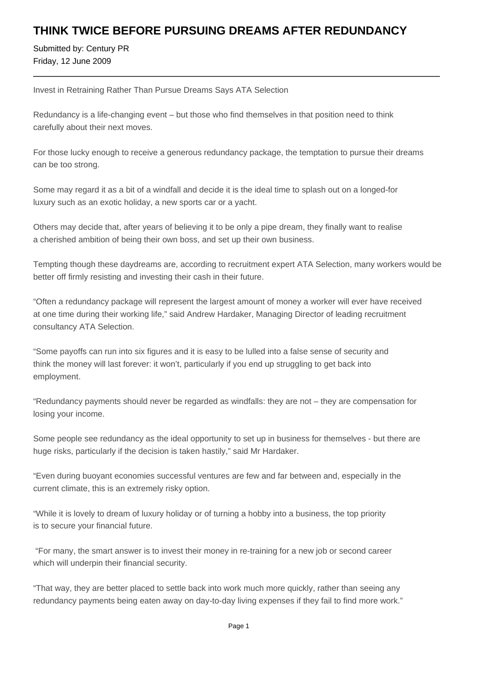## **THINK TWICE BEFORE PURSUING DREAMS AFTER REDUNDANCY**

Submitted by: Century PR Friday, 12 June 2009

Invest in Retraining Rather Than Pursue Dreams Says ATA Selection

Redundancy is a life-changing event – but those who find themselves in that position need to think carefully about their next moves.

For those lucky enough to receive a generous redundancy package, the temptation to pursue their dreams can be too strong.

Some may regard it as a bit of a windfall and decide it is the ideal time to splash out on a longed-for luxury such as an exotic holiday, a new sports car or a yacht.

Others may decide that, after years of believing it to be only a pipe dream, they finally want to realise a cherished ambition of being their own boss, and set up their own business.

Tempting though these daydreams are, according to recruitment expert ATA Selection, many workers would be better off firmly resisting and investing their cash in their future.

"Often a redundancy package will represent the largest amount of money a worker will ever have received at one time during their working life," said Andrew Hardaker, Managing Director of leading recruitment consultancy ATA Selection.

"Some payoffs can run into six figures and it is easy to be lulled into a false sense of security and think the money will last forever: it won't, particularly if you end up struggling to get back into employment.

"Redundancy payments should never be regarded as windfalls: they are not – they are compensation for losing your income.

Some people see redundancy as the ideal opportunity to set up in business for themselves - but there are huge risks, particularly if the decision is taken hastily," said Mr Hardaker.

"Even during buoyant economies successful ventures are few and far between and, especially in the current climate, this is an extremely risky option.

"While it is lovely to dream of luxury holiday or of turning a hobby into a business, the top priority is to secure your financial future.

 "For many, the smart answer is to invest their money in re-training for a new job or second career which will underpin their financial security.

"That way, they are better placed to settle back into work much more quickly, rather than seeing any redundancy payments being eaten away on day-to-day living expenses if they fail to find more work."